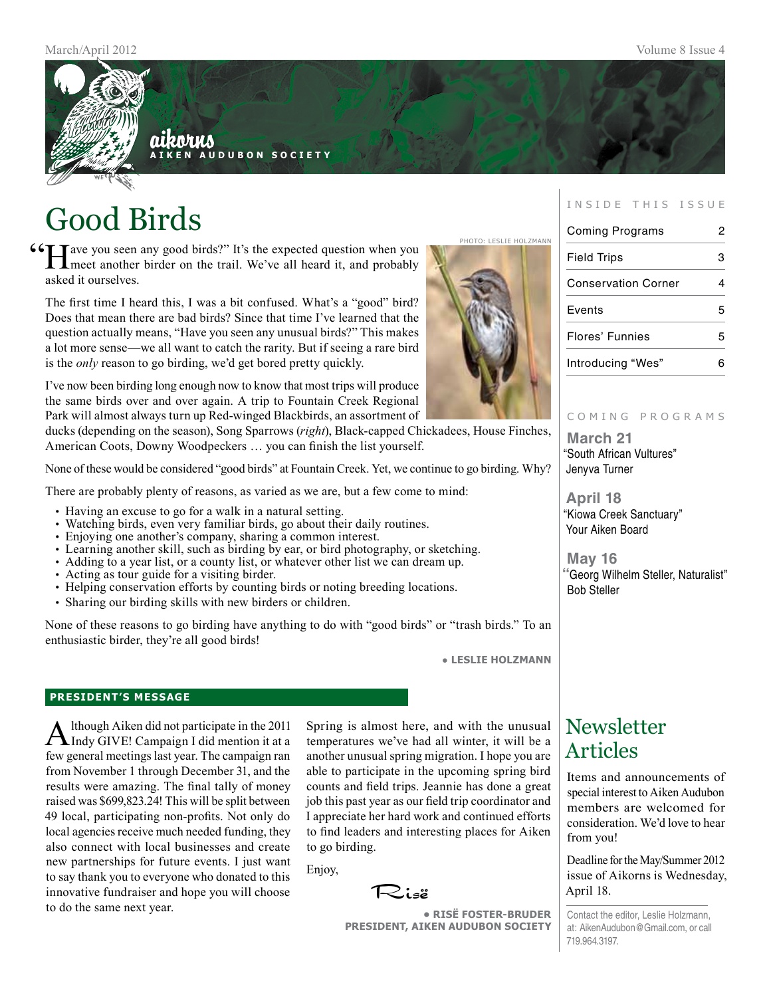

# Good Birds

**COME ARRY SEVIE HOLZMANN**<br>
The expected question when you<br>
The Photo: LESLIE HOLZMANN<br>
Note another birder on the trail. We've all heard it, and probably **L** meet another birder on the trail. We've all heard it, and probably asked it ourselves.

The first time I heard this, I was a bit confused. What's a "good" bird? Does that mean there are bad birds? Since that time I've learned that the question actually means, "Have you seen any unusual birds?" This makes a lot more sense—we all want to catch the rarity. But if seeing a rare bird is the *only* reason to go birding, we'd get bored pretty quickly.

I've now been birding long enough now to know that most trips will produce the same birds over and over again. A trip to Fountain Creek Regional Park will almost always turn up Red-winged Blackbirds, an assortment of

ducks (depending on the season), Song Sparrows (*right*), Black-capped Chickadees, House Finches, American Coots, Downy Woodpeckers … you can finish the list yourself.

None of these would be considered "good birds" at Fountain Creek. Yet, we continue to go birding. Why?

There are probably plenty of reasons, as varied as we are, but a few come to mind:

- Having an excuse to go for a walk in a natural setting.
- Watching birds, even very familiar birds, go about their daily routines.
- Enjoying one another's company, sharing a common interest.
- Learning another skill, such as birding by ear, or bird photography, or sketching.
- Adding to a year list, or a county list, or whatever other list we can dream up.
- Acting as tour guide for a visiting birder.
- Helping conservation efforts by counting birds or noting breeding locations.
- Sharing our birding skills with new birders or children.

None of these reasons to go birding have anything to do with "good birds" or "trash birds." To an enthusiastic birder, they're all good birds!

● **Leslie Holzmann**

#### **president's message**

Although Aiken did not participate in the 2011<br>Indy GIVE! Campaign I did mention it at a few general meetings last year. The campaign ran from November 1 through December 31, and the results were amazing. The final tally of money raised was \$699,823.24! This will be split between 49 local, participating non-profits. Not only do local agencies receive much needed funding, they also connect with local businesses and create new partnerships for future events. I just want to say thank you to everyone who donated to this innovative fundraiser and hope you will choose to do the same next year.

Spring is almost here, and with the unusual temperatures we've had all winter, it will be a another unusual spring migration. I hope you are able to participate in the upcoming spring bird counts and field trips. Jeannie has done a great job this past year as our field trip coordinator and I appreciate her hard work and continued efforts to find leaders and interesting places for Aiken to go birding.

Enjoy,

Risë

**• RisË Foster-Bruder President, Aiken Audubon Society**

#### INSIDE THIS ISSUE

| <b>Coming Programs</b>     |   |
|----------------------------|---|
| <b>Field Trips</b>         | 3 |
| <b>Conservation Corner</b> |   |
| Events                     | 5 |
| Flores' Funnies            | 5 |
| Introducing "Wes"          |   |

#### COMING PROGRAMS

**March 21** "South African Vultures" Jenyva Turner

**April 18** "Kiowa Creek Sanctuary" Your Aiken Board

**May 16 "**Georg Wilhelm Steller, Naturalist" Bob Steller

## **Newsletter** Articles

Items and announcements of special interest to Aiken Audubon members are welcomed for consideration. We'd love to hear from you!

Deadline for the May/Summer 2012 issue of Aikorns is Wednesday, April 18.

Contact the editor, Leslie Holzmann, at: AikenAudubon@Gmail.com, or call 719.964.3197.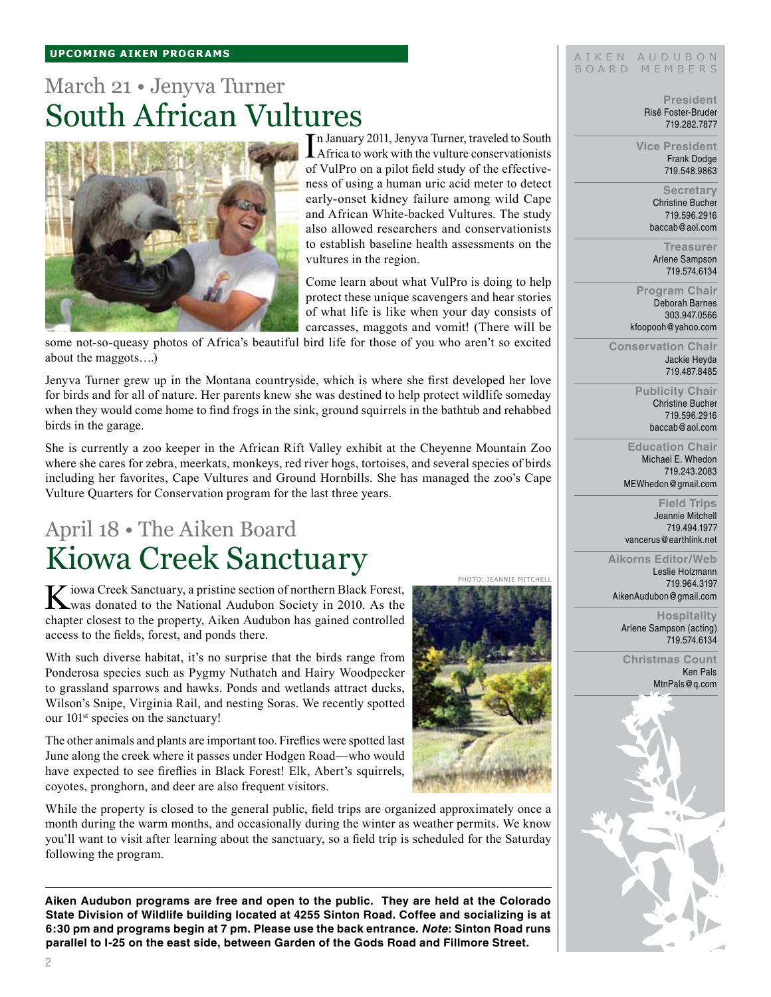# March 21 • Jenyva Turner South African Vultures



In January 2011, Jenyva Turner, traveled to South<br>Africa to work with the vulture conservationists n January 2011, Jenyva Turner, traveled to South of VulPro on a pilot field study of the effectiveness of using a human uric acid meter to detect early-onset kidney failure among wild Cape and African White-backed Vultures. The study also allowed researchers and conservationists to establish baseline health assessments on the vultures in the region.

Come learn about what VulPro is doing to help protect these unique scavengers and hear stories of what life is like when your day consists of carcasses, maggots and vomit! (There will be

Photo: Jeannie Mitchell

some not-so-queasy photos of Africa's beautiful bird life for those of you who aren't so excited about the maggots….)

Jenyva Turner grew up in the Montana countryside, which is where she first developed her love for birds and for all of nature. Her parents knew she was destined to help protect wildlife someday when they would come home to find frogs in the sink, ground squirrels in the bathtub and rehabbed birds in the garage.

She is currently a zoo keeper in the African Rift Valley exhibit at the Cheyenne Mountain Zoo where she cares for zebra, meerkats, monkeys, red river hogs, tortoises, and several species of birds including her favorites, Cape Vultures and Ground Hornbills. She has managed the zoo's Cape Vulture Quarters for Conservation program for the last three years.

# April 18 • The Aiken Board Kiowa Creek Sanctuary

Kiowa Creek Sanctuary, a pristine section of northern Black Forest, was donated to the National Audubon Society in 2010. As the chapter closest to the property, Aiken Audubon has gained controlled access to the fields, forest, and ponds there.

With such diverse habitat, it's no surprise that the birds range from Ponderosa species such as Pygmy Nuthatch and Hairy Woodpecker to grassland sparrows and hawks. Ponds and wetlands attract ducks, Wilson's Snipe, Virginia Rail, and nesting Soras. We recently spotted our 101<sup>st</sup> species on the sanctuary!

The other animals and plants are important too. Fireflies were spotted last June along the creek where it passes under Hodgen Road—who would have expected to see fireflies in Black Forest! Elk, Abert's squirrels, coyotes, pronghorn, and deer are also frequent visitors.

While the property is closed to the general public, field trips are organized approximately once a month during the warm months, and occasionally during the winter as weather permits. We know you'll want to visit after learning about the sanctuary, so a field trip is scheduled for the Saturday following the program.

**Aiken Audubon programs are free and open to the public. They are held at the Colorado State Division of Wildlife building located at 4255 Sinton Road. Coffee and socializing is at 6:30 pm and programs begin at 7 pm. Please use the back entrance.** *Note***: Sinton Road runs parallel to I-25 on the east side, between Garden of the Gods Road and Fillmore Street.**

#### AIKEN AUDUBON B O A R D M E M B E R S

**President** Risë Foster-Bruder 719.282.7877

**Vice President** Frank Dodge 719.548.9863

> **Secretary** Christine Bucher 719.596.2916 baccab@aol.com

**Treasurer** Arlene Sampson 719.574.6134

**Program Chair** Deborah Barnes 303.947.0566 kfoopooh@yahoo.com

**Conservation Chair** Jackie Heyda 719.487.8485

> **Publicity Chair** Christine Bucher 719.596.2916 baccab@aol.com

**Education Chair** Michael E. Whedon 719.243.2083 MEWhedon@gmail.com

**Field Trips** Jeannie Mitchell 719.494.1977 vancerus@earthlink.net

**Aikorns Editor/Web** Leslie Holzmann 719.964.3197 AikenAudubon@gmail.com

> **Hospitality** Arlene Sampson (acting) 719.574.6134

**Christmas Count** Ken Pals



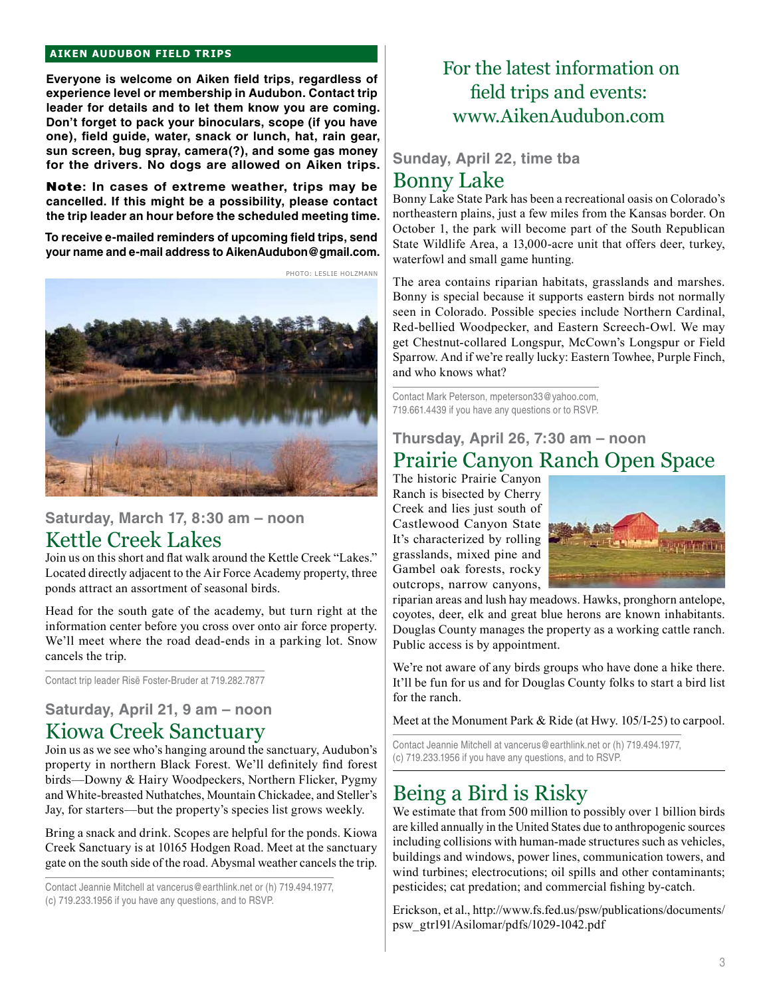#### **aiken audubon FIELD TRIPS**

**Everyone is welcome on Aiken field trips, regardless of experience level or membership in Audubon. Contact trip leader for details and to let them know you are coming. Don't forget to pack your binoculars, scope (if you have one), field guide, water, snack or lunch, hat, rain gear, sun screen, bug spray, camera(?), and some gas money for the drivers. No dogs are allowed on Aiken trips.** 

Note**: In cases of extreme weather, trips may be cancelled. If this might be a possibility, please contact the trip leader an hour before the scheduled meeting time.**

**To receive e-mailed reminders of upcoming field trips, send your name and e-mail address to AikenAudubon@gmail.com.**



### **Saturday, March 17, 8:30 am – noon** Kettle Creek Lakes

Join us on this short and flat walk around the Kettle Creek "Lakes." Located directly adjacent to the Air Force Academy property, three ponds attract an assortment of seasonal birds.

Head for the south gate of the academy, but turn right at the information center before you cross over onto air force property. We'll meet where the road dead-ends in a parking lot. Snow cancels the trip.

Contact trip leader Risë Foster-Bruder at 719.282.7877

## **Saturday, April 21, 9 am – noon**

## Kiowa Creek Sanctuary

Join us as we see who's hanging around the sanctuary, Audubon's property in northern Black Forest. We'll definitely find forest birds—Downy & Hairy Woodpeckers, Northern Flicker, Pygmy and White-breasted Nuthatches, Mountain Chickadee, and Steller's Jay, for starters—but the property's species list grows weekly.

Bring a snack and drink. Scopes are helpful for the ponds. Kiowa Creek Sanctuary is at 10165 Hodgen Road. Meet at the sanctuary gate on the south side of the road. Abysmal weather cancels the trip.

Contact Jeannie Mitchell at vancerus@earthlink.net or (h) 719.494.1977, (c) 719.233.1956 if you have any questions, and to RSVP.

## For the latest information on field trips and events: www.AikenAudubon.com

### **Sunday, April 22, time tba** Bonny Lake

Bonny Lake State Park has been a recreational oasis on Colorado's northeastern plains, just a few miles from the Kansas border. On October 1, the park will become part of the South Republican State Wildlife Area, a 13,000-acre unit that offers deer, turkey, waterfowl and small game hunting.

The area contains riparian habitats, grasslands and marshes. Bonny is special because it supports eastern birds not normally seen in Colorado. Possible species include Northern Cardinal, Red-bellied Woodpecker, and Eastern Screech-Owl. We may get Chestnut-collared Longspur, McCown's Longspur or Field Sparrow. And if we're really lucky: Eastern Towhee, Purple Finch, and who knows what?

Contact Mark Peterson, mpeterson33@yahoo.com, 719.661.4439 if you have any questions or to RSVP.

### **Thursday, April 26, 7:30 am – noon** Prairie Canyon Ranch Open Space

The historic Prairie Canyon Ranch is bisected by Cherry Creek and lies just south of Castlewood Canyon State It's characterized by rolling grasslands, mixed pine and Gambel oak forests, rocky outcrops, narrow canyons,



riparian areas and lush hay meadows. Hawks, pronghorn antelope, coyotes, deer, elk and great blue herons are known inhabitants. Douglas County manages the property as a working cattle ranch. Public access is by appointment.

We're not aware of any birds groups who have done a hike there. It'll be fun for us and for Douglas County folks to start a bird list for the ranch.

Meet at the Monument Park & Ride (at Hwy. 105/I-25) to carpool.

Contact Jeannie Mitchell at vancerus@earthlink.net or (h) 719.494.1977, (c) 719.233.1956 if you have any questions, and to RSVP.

### Being a Bird is Risky

We estimate that from 500 million to possibly over 1 billion birds are killed annually in the United States due to anthropogenic sources including collisions with human-made structures such as vehicles, buildings and windows, power lines, communication towers, and wind turbines; electrocutions; oil spills and other contaminants; pesticides; cat predation; and commercial fishing by-catch.

Erickson, et al., http://www.fs.fed.us/psw/publications/documents/ psw\_gtr191/Asilomar/pdfs/1029-1042.pdf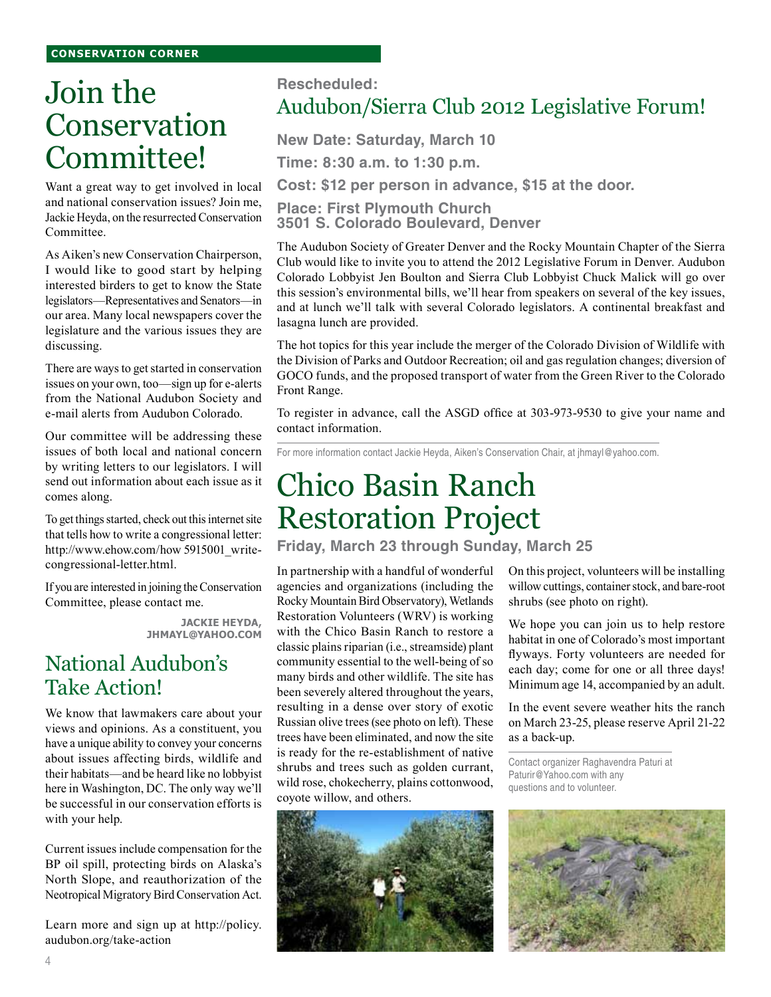#### **conservation corner**

# Join the Conservation Committee!

Want a great way to get involved in local and national conservation issues? Join me, Jackie Heyda, on the resurrected Conservation Committee.

As Aiken's new Conservation Chairperson, I would like to good start by helping interested birders to get to know the State legislators—Representatives and Senators—in our area. Many local newspapers cover the legislature and the various issues they are discussing.

There are ways to get started in conservation issues on your own, too—sign up for e-alerts from the National Audubon Society and e-mail alerts from Audubon Colorado.

Our committee will be addressing these issues of both local and national concern by writing letters to our legislators. I will send out information about each issue as it comes along.

To get things started, check out this internet site that tells how to write a congressional letter: http://www.ehow.com/how 5915001\_writecongressional-letter.html.

If you are interested in joining the Conservation Committee, please contact me.

> **Jackie Heyda, jhmayl@yahoo.com**

## National Audubon's Take Action!

We know that lawmakers care about your views and opinions. As a constituent, you have a unique ability to convey your concerns about issues affecting birds, wildlife and their habitats—and be heard like no lobbyist here in Washington, DC. The only way we'll be successful in our conservation efforts is with your help.

Current issues include compensation for the BP oil spill, protecting birds on Alaska's North Slope, and reauthorization of the Neotropical Migratory Bird Conservation Act.

Learn more and sign up at http://policy. audubon.org/take-action

### **Rescheduled:**

## Audubon/Sierra Club 2012 Legislative Forum!

**New Date: Saturday, March 10**

**Time: 8:30 a.m. to 1:30 p.m.**

**Cost: \$12 per person in advance, \$15 at the door.**

**Place: First Plymouth Church 3501 S. Colorado Boulevard, Denver** 

The Audubon Society of Greater Denver and the Rocky Mountain Chapter of the Sierra Club would like to invite you to attend the 2012 Legislative Forum in Denver. Audubon Colorado Lobbyist Jen Boulton and Sierra Club Lobbyist Chuck Malick will go over this session's environmental bills, we'll hear from speakers on several of the key issues, and at lunch we'll talk with several Colorado legislators. A continental breakfast and lasagna lunch are provided.

The hot topics for this year include the merger of the Colorado Division of Wildlife with the Division of Parks and Outdoor Recreation; oil and gas regulation changes; diversion of GOCO funds, and the proposed transport of water from the Green River to the Colorado Front Range.

To register in advance, call the ASGD office at 303-973-9530 to give your name and contact information.

For more information contact Jackie Heyda, Aiken's Conservation Chair, at jhmayl@yahoo.com.

# Chico Basin Ranch Restoration Project

**Friday, March 23 through Sunday, March 25**

In partnership with a handful of wonderful agencies and organizations (including the Rocky Mountain Bird Observatory), Wetlands Restoration Volunteers (WRV) is working with the Chico Basin Ranch to restore a classic plains riparian (i.e., streamside) plant community essential to the well-being of so many birds and other wildlife. The site has been severely altered throughout the years, resulting in a dense over story of exotic Russian olive trees (see photo on left). These trees have been eliminated, and now the site is ready for the re-establishment of native shrubs and trees such as golden currant, wild rose, chokecherry, plains cottonwood, coyote willow, and others.



On this project, volunteers will be installing willow cuttings, container stock, and bare-root shrubs (see photo on right).

We hope you can join us to help restore habitat in one of Colorado's most important flyways. Forty volunteers are needed for each day; come for one or all three days! Minimum age 14, accompanied by an adult.

In the event severe weather hits the ranch on March 23-25, please reserve April 21-22 as a back-up.

Contact organizer Raghavendra Paturi at Paturir@Yahoo.com with any questions and to volunteer.

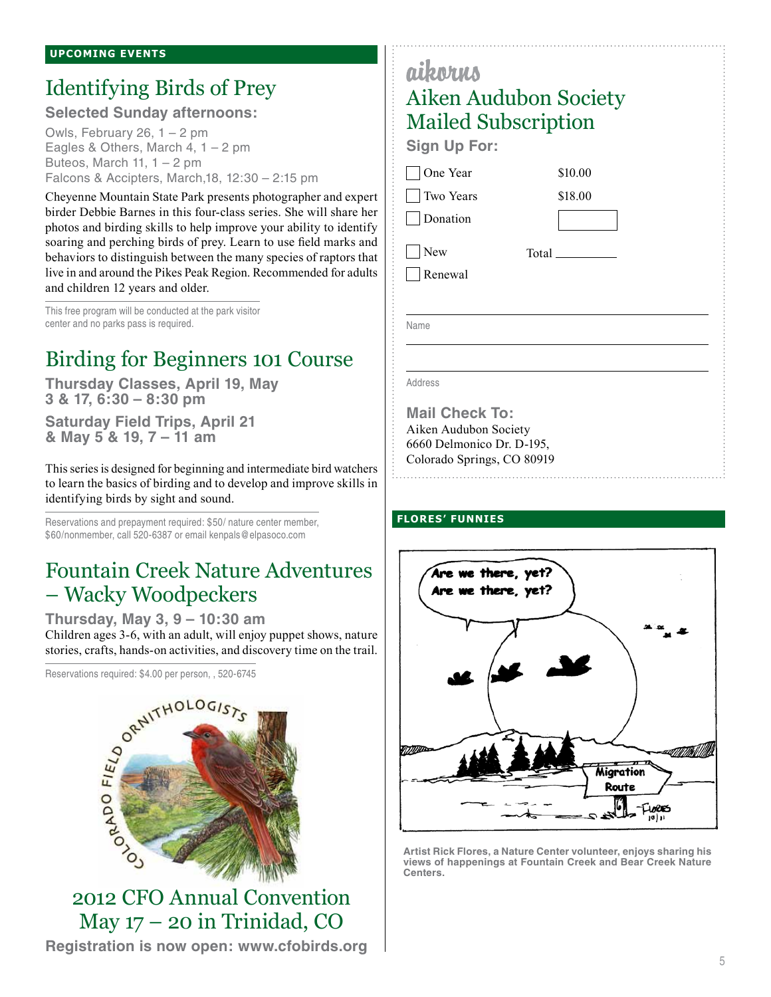## Identifying Birds of Prey

**Selected Sunday afternoons:**

Owls, February 26, 1 – 2 pm Eagles & Others, March 4,  $1 - 2$  pm Buteos, March 11,  $1 - 2$  pm Falcons & Accipters, March,18, 12:30 – 2:15 pm

Cheyenne Mountain State Park presents photographer and expert birder Debbie Barnes in this four-class series. She will share her photos and birding skills to help improve your ability to identify soaring and perching birds of prey. Learn to use field marks and behaviors to distinguish between the many species of raptors that live in and around the Pikes Peak Region. Recommended for adults and children 12 years and older.

This free program will be conducted at the park visitor center and no parks pass is required.

## Birding for Beginners 101 Course

**Thursday Classes, April 19, May 3 & 17, 6:30 – 8:30 pm**

**Saturday Field Trips, April 21 & May 5 & 19, 7 – 11 am**

This series is designed for beginning and intermediate bird watchers to learn the basics of birding and to develop and improve skills in identifying birds by sight and sound.

Reservations and prepayment required: \$50/ nature center member, \$60/nonmember, call 520-6387 or email kenpals@elpasoco.com

## Fountain Creek Nature Adventures – Wacky Woodpeckers

**Thursday, May 3, 9 – 10:30 am** stories, crafts, hands-on activities, and discovery time on the trail.

Reservations required: \$4.00 per person, , 520-6745



2012 CFO Annual Convention May 17 – 20 in Trinidad, CO **Registration is now open: www.cfobirds.org**

| aikorus                    |                              |
|----------------------------|------------------------------|
|                            | <b>Aiken Audubon Society</b> |
| <b>Mailed Subscription</b> |                              |
| <b>Sign Up For:</b>        |                              |
| One Year                   | \$10.00                      |
| Two Years                  | \$18.00                      |
| Donation                   |                              |
| New                        | Total                        |
| Renewal                    |                              |
|                            |                              |
| Name                       |                              |
|                            |                              |
| Address                    |                              |
|                            |                              |

**Mail Check To:** Aiken Audubon Society 6660 Delmonico Dr. D-195, Colorado Springs, CO 80919

### **flores' funnies**



**Artist Rick Flores, a Nature Center volunteer, enjoys sharing his views of happenings at Fountain Creek and Bear Creek Nature Centers.**